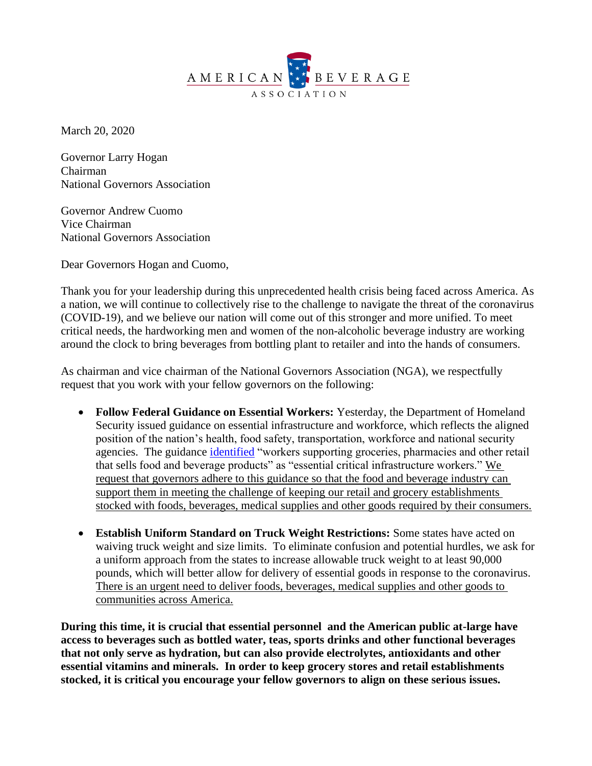

March 20, 2020

Governor Larry Hogan Chairman National Governors Association

Governor Andrew Cuomo Vice Chairman National Governors Association

Dear Governors Hogan and Cuomo,

Thank you for your leadership during this unprecedented health crisis being faced across America. As a nation, we will continue to collectively rise to the challenge to navigate the threat of the coronavirus (COVID-19), and we believe our nation will come out of this stronger and more unified. To meet critical needs, the hardworking men and women of the non-alcoholic beverage industry are working around the clock to bring beverages from bottling plant to retailer and into the hands of consumers.

As chairman and vice chairman of the National Governors Association (NGA), we respectfully request that you work with your fellow governors on the following:

- **Follow Federal Guidance on Essential Workers:** Yesterday, the Department of Homeland Security issued guidance on essential infrastructure and workforce, which reflects the aligned position of the nation's health, food safety, transportation, workforce and national security agencies. The guidance [identified](https://www.cisa.gov/sites/default/files/publications/CISA-Guidance-on-Essential-Critical-Infrastructure-Workers-1-20-508c.pdf) "workers supporting groceries, pharmacies and other retail that sells food and beverage products" as "essential critical infrastructure workers." We request that governors adhere to this guidance so that the food and beverage industry can support them in meeting the challenge of keeping our retail and grocery establishments stocked with foods, beverages, medical supplies and other goods required by their consumers.
- **Establish Uniform Standard on Truck Weight Restrictions:** Some states have acted on waiving truck weight and size limits. To eliminate confusion and potential hurdles, we ask for a uniform approach from the states to increase allowable truck weight to at least 90,000 pounds, which will better allow for delivery of essential goods in response to the coronavirus. There is an urgent need to deliver foods, beverages, medical supplies and other goods to communities across America.

**During this time, it is crucial that essential personnel and the American public at-large have access to beverages such as bottled water, teas, sports drinks and other functional beverages that not only serve as hydration, but can also provide electrolytes, antioxidants and other essential vitamins and minerals. In order to keep grocery stores and retail establishments stocked, it is critical you encourage your fellow governors to align on these serious issues.**